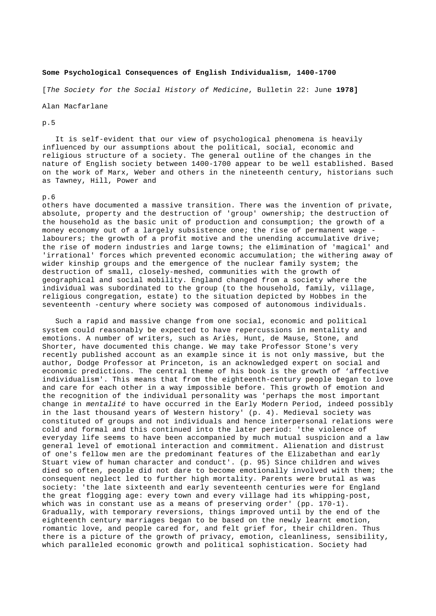## **Some Psychological Consequences of English Individualism, 1400-1700**

[*The Society for the Social History of Medicine*, Bulletin 22: June **1978]**

Alan Macfarlane

## p.5

 It is self-evident that our view of psychological phenomena is heavily influenced by our assumptions about the political, social, economic and religious structure of a society. The general outline of the changes in the nature of English society between 1400-1700 appear to be well established. Based on the work of Marx, Weber and others in the nineteenth century, historians such as Tawney, Hill, Power and

## p.6

others have documented a massive transition. There was the invention of private, absolute, property and the destruction of 'group' ownership; the destruction of the household as the basic unit of production and consumption; the growth of a money economy out of a largely subsistence one; the rise of permanent wage labourers; the growth of a profit motive and the unending accumulative drive; the rise of modern industries and large towns; the elimination of 'magical' and 'irrational' forces which prevented economic accumulation; the withering away of wider kinship groups and the emergence of the nuclear family system; the destruction of small, closely-meshed, communities with the growth of geographical and social mobility. England changed from a society where the individual was subordinated to the group (to the household, family, village, religious congregation, estate) to the situation depicted by Hobbes in the seventeenth -century where society was composed of autonomous individuals.

 Such a rapid and massive change from one social, economic and political system could reasonably be expected to have repercussions in mentality and emotions. A number of writers, such as Ariès, Hunt, de Mause, Stone, and Shorter, have documented this change. We may take Professor Stone's very recently published account as an example since it is not only massive, but the author, Dodge Professor at Princeton, is an acknowledged expert on social and economic predictions. The central theme of his book is the growth of 'affective individualism'. This means that from the eighteenth-century people began to love and care for each other in a way impossible before. This growth of emotion and the recognition of the individual personality was 'perhaps the most important change in *mentalité* to have occurred in the Early Modern Period, indeed possibly in the last thousand years of Western history' (p. 4). Medieval society was constituted of groups and not individuals and hence interpersonal relations were cold and formal and this continued into the later period: 'the violence of everyday life seems to have been accompanied by much mutual suspicion and a law general level of emotional interaction and commitment. Alienation and distrust of one's fellow men are the predominant features of the Elizabethan and early Stuart view of human character and conduct'. (p. 95) Since children and wives died so often, people did not dare to become emotionally involved with them; the consequent neglect led to further high mortality. Parents were brutal as was society: 'the late sixteenth and early seventeenth centuries were for England the great flogging age: every town and every village had its whipping-post, which was in constant use as a means of preserving order' (pp. 170-1). Gradually, with temporary reversions, things improved until by the end of the eighteenth century marriages began to be based on the newly learnt emotion, romantic love, and people cared for, and felt grief for, their children. Thus there is a picture of the growth of privacy, emotion, cleanliness, sensibility, which paralleled economic growth and political sophistication. Society had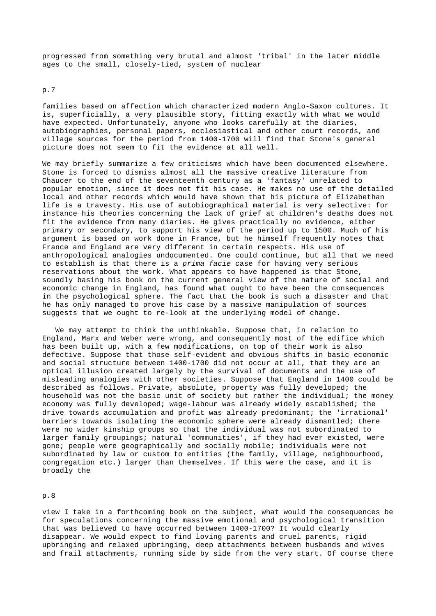progressed from something very brutal and almost 'tribal' in the later middle ages to the small, closely-tied, system of nuclear

p.7

families based on affection which characterized modern Anglo-Saxon cultures. It is, superficially, a very plausible story, fitting exactly with what we would have expected. Unfortunately, anyone who looks carefully at the diaries, autobiographies, personal papers, ecclesiastical and other court records, and village sources for the period from 1400-1700 will find that Stone's general picture does not seem to fit the evidence at all well.

We may briefly summarize a few criticisms which have been documented elsewhere. Stone is forced to dismiss almost all the massive creative literature from Chaucer to the end of the seventeenth century as a 'fantasy' unrelated to popular emotion, since it does not fit his case. He makes no use of the detailed local and other records which would have shown that his picture of Elizabethan life is a travesty. His use of autobiographical material is very selective: for instance his theories concerning the lack of grief at children's deaths does not fit the evidence from many diaries. He gives practically no evidence, either primary or secondary, to support his view of the period up to 1500. Much of his argument is based on work done in France, but he himself frequently notes that France and England are very different in certain respects. His use of anthropological analogies undocumented. One could continue, but all that we need to establish is that there is a *prima facie* case for having very serious reservations about the work. What appears to have happened is that Stone, soundly basing his book on the current general view of the nature of social and economic change in England, has found what ought to have been the consequences in the psychological sphere. The fact that the book is such a disaster and that he has only managed to prove his case by a massive manipulation of sources suggests that we ought to re-look at the underlying model of change.

 We may attempt to think the unthinkable. Suppose that, in relation to England, Marx and Weber were wrong, and consequently most of the edifice which has been built up, with a few modifications, on top of their work is also defective. Suppose that those self-evident and obvious shifts in basic economic and social structure between 1400-1700 did not occur at all, that they are an optical illusion created largely by the survival of documents and the use of misleading analogies with other societies. Suppose that England in 1400 could be described as follows. Private, absolute, property was fully developed; the household was not the basic unit of society but rather the individual; the money economy was fully developed; wage-labour was already widely established; the drive towards accumulation and profit was already predominant; the 'irrational' barriers towards isolating the economic sphere were already dismantled; there were no wider kinship groups so that the individual was not subordinated to larger family groupings; natural 'communities', if they had ever existed, were gone; people were geographically and socially mobile; individuals were not subordinated by law or custom to entities (the family, village, neighbourhood, congregation etc.) larger than themselves. If this were the case, and it is broadly the

p.8

view I take in a forthcoming book on the subject, what would the consequences be for speculations concerning the massive emotional and psychological transition that was believed to have occurred between 1400-1700? It would clearly disappear. We would expect to find loving parents and cruel parents, rigid upbringing and relaxed upbringing, deep attachments between husbands and wives and frail attachments, running side by side from the very start. Of course there